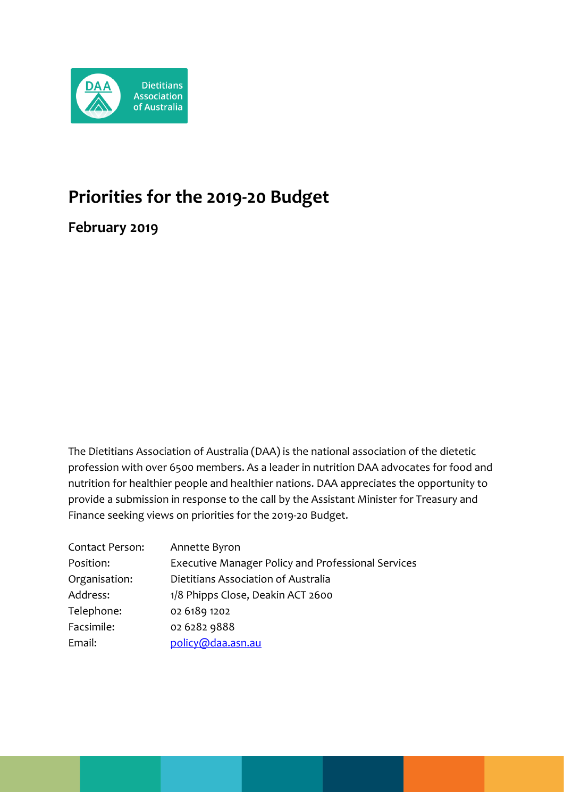

# **Priorities for the 2019-20 Budget**

**February 2019**

The Dietitians Association of Australia (DAA) is the national association of the dietetic profession with over 6500 members. As a leader in nutrition DAA advocates for food and nutrition for healthier people and healthier nations. DAA appreciates the opportunity to provide a submission in response to the call by the Assistant Minister for Treasury and Finance seeking views on priorities for the 2019-20 Budget.

| Contact Person: | Annette Byron                                             |
|-----------------|-----------------------------------------------------------|
| Position:       | <b>Executive Manager Policy and Professional Services</b> |
| Organisation:   | Dietitians Association of Australia                       |
| Address:        | 1/8 Phipps Close, Deakin ACT 2600                         |
| Telephone:      | 02 6189 1202                                              |
| Facsimile:      | 02 6282 9888                                              |
| Email:          | policy@daa.asn.au                                         |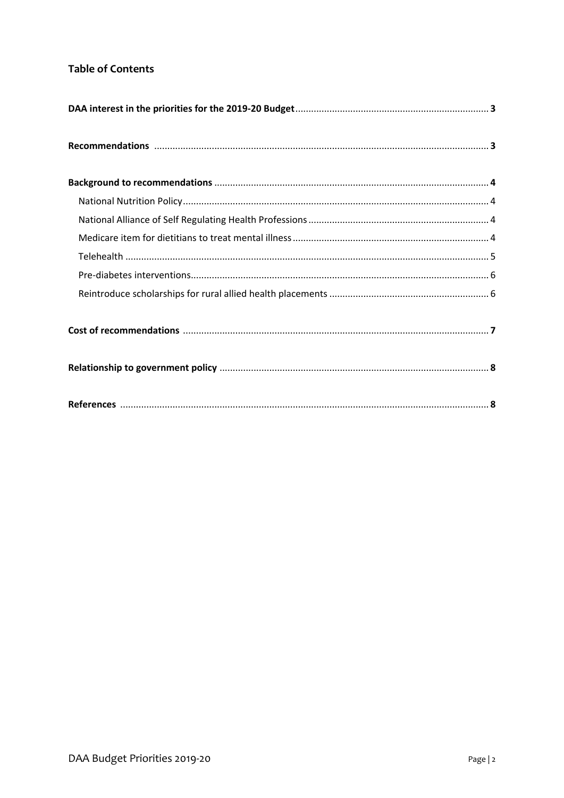# **Table of Contents**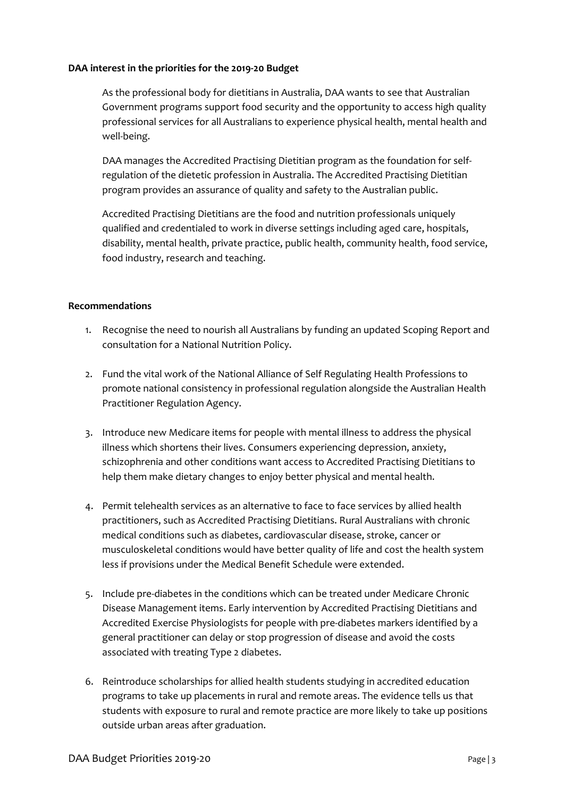## **DAA interest in the priorities for the 2019-20 Budget**

As the professional body for dietitians in Australia, DAA wants to see that Australian Government programs support food security and the opportunity to access high quality professional services for all Australians to experience physical health, mental health and well-being.

DAA manages the Accredited Practising Dietitian program as the foundation for selfregulation of the dietetic profession in Australia. The Accredited Practising Dietitian program provides an assurance of quality and safety to the Australian public.

Accredited Practising Dietitians are the food and nutrition professionals uniquely qualified and credentialed to work in diverse settings including aged care, hospitals, disability, mental health, private practice, public health, community health, food service, food industry, research and teaching.

# **Recommendations**

- 1. Recognise the need to nourish all Australians by funding an updated Scoping Report and consultation for a National Nutrition Policy.
- 2. Fund the vital work of the National Alliance of Self Regulating Health Professions to promote national consistency in professional regulation alongside the Australian Health Practitioner Regulation Agency.
- 3. Introduce new Medicare items for people with mental illness to address the physical illness which shortens their lives. Consumers experiencing depression, anxiety, schizophrenia and other conditions want access to Accredited Practising Dietitians to help them make dietary changes to enjoy better physical and mental health.
- 4. Permit telehealth services as an alternative to face to face services by allied health practitioners, such as Accredited Practising Dietitians. Rural Australians with chronic medical conditions such as diabetes, cardiovascular disease, stroke, cancer or musculoskeletal conditions would have better quality of life and cost the health system less if provisions under the Medical Benefit Schedule were extended.
- 5. Include pre-diabetes in the conditions which can be treated under Medicare Chronic Disease Management items. Early intervention by Accredited Practising Dietitians and Accredited Exercise Physiologists for people with pre-diabetes markers identified by a general practitioner can delay or stop progression of disease and avoid the costs associated with treating Type 2 diabetes.
- 6. Reintroduce scholarships for allied health students studying in accredited education programs to take up placements in rural and remote areas. The evidence tells us that students with exposure to rural and remote practice are more likely to take up positions outside urban areas after graduation.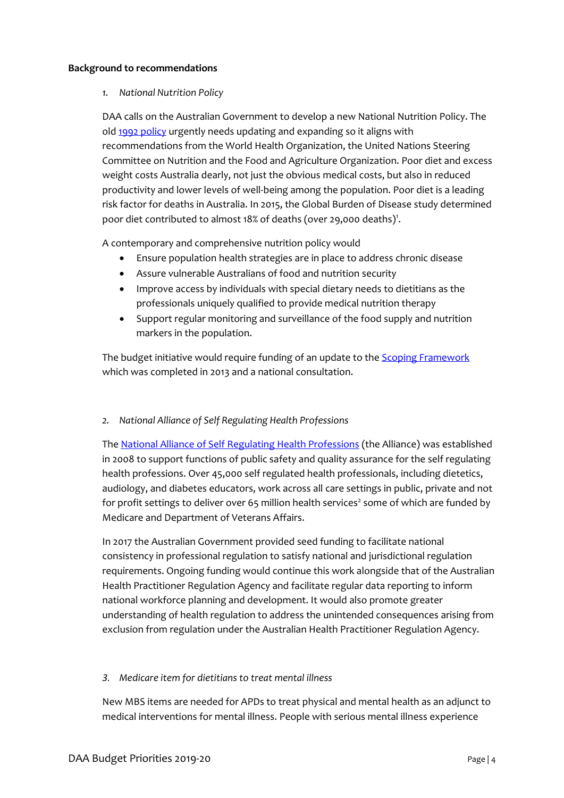## **Background to recommendations**

# *1. National Nutrition Policy*

DAA calls on the Australian Government to develop a new National Nutrition Policy. The old [1992 policy](https://extranet.who.int/nutrition/gina/sites/default/files/AUS%201992%20Food%20and%20nutrition%20policy%20.pdf) urgently needs updating and expanding so it aligns with recommendations from the World Health Organization, the United Nations Steering Committee on Nutrition and the Food and Agriculture Organization. Poor diet and excess weight costs Australia dearly, not just the obvious medical costs, but also in reduced productivity and lower levels of well-being among the population. Poor diet is a leading risk factor for deaths in Australia. In 2015, the Global Burden of Disease study determined poor diet contributed to almost 18% of deaths (over 29,000 deaths)<sup>1</sup>.

A contemporary and comprehensive nutrition policy would

- Ensure population health strategies are in place to address chronic disease
- Assure vulnerable Australians of food and nutrition security
- Improve access by individuals with special dietary needs to dietitians as the professionals uniquely qualified to provide medical nutrition therapy
- Support regular monitoring and surveillance of the food supply and nutrition markers in the population.

The budget initiative would require funding of an update to the **Scoping Framework** which was completed in 2013 and a national consultation.

# *2. National Alliance of Self Regulating Health Professions*

Th[e National Alliance of Self Regulating Health Professions](https://nasrhp.org.au/) (the Alliance) was established in 2008 to support functions of public safety and quality assurance for the self regulating health professions. Over 45,000 self regulated health professionals, including dietetics, audiology, and diabetes educators, work across all care settings in public, private and not for profit settings to deliver over 65 million health services<sup>2</sup> some of which are funded by Medicare and Department of Veterans Affairs.

In 2017 the Australian Government provided seed funding to facilitate national consistency in professional regulation to satisfy national and jurisdictional regulation requirements. Ongoing funding would continue this work alongside that of the Australian Health Practitioner Regulation Agency and facilitate regular data reporting to inform national workforce planning and development. It would also promote greater understanding of health regulation to address the unintended consequences arising from exclusion from regulation under the Australian Health Practitioner Regulation Agency.

# *3. Medicare item for dietitians to treat mental illness*

New MBS items are needed for APDs to treat physical and mental health as an adjunct to medical interventions for mental illness. People with serious mental illness experience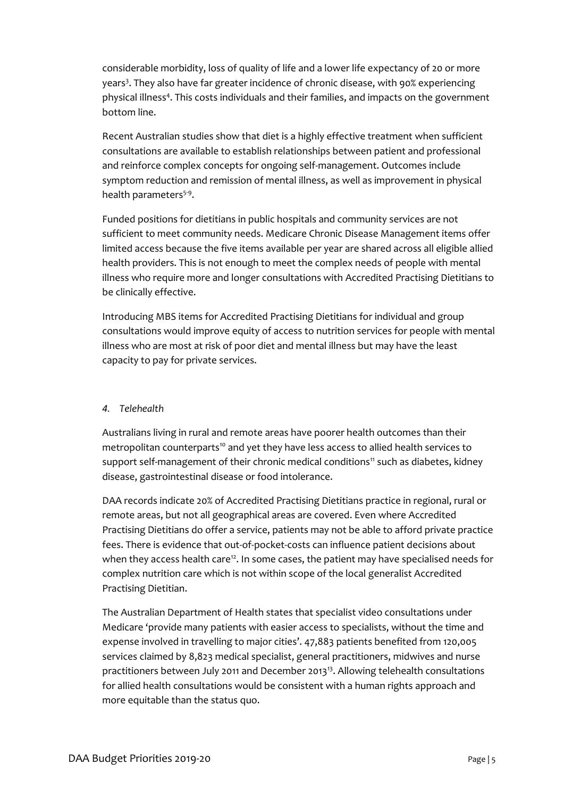considerable morbidity, loss of quality of life and a lower life expectancy of 20 or more years<sup>3</sup>. They also have far greater incidence of chronic disease, with 90% experiencing physical illness<sup>4</sup> . This costs individuals and their families, and impacts on the government bottom line.

Recent Australian studies show that diet is a highly effective treatment when sufficient consultations are available to establish relationships between patient and professional and reinforce complex concepts for ongoing self-management. Outcomes include symptom reduction and remission of mental illness, as well as improvement in physical health parameters<sup>5-9</sup>.

Funded positions for dietitians in public hospitals and community services are not sufficient to meet community needs. Medicare Chronic Disease Management items offer limited access because the five items available per year are shared across all eligible allied health providers. This is not enough to meet the complex needs of people with mental illness who require more and longer consultations with Accredited Practising Dietitians to be clinically effective.

Introducing MBS items for Accredited Practising Dietitians for individual and group consultations would improve equity of access to nutrition services for people with mental illness who are most at risk of poor diet and mental illness but may have the least capacity to pay for private services.

# *4. Telehealth*

Australians living in rural and remote areas have poorer health outcomes than their metropolitan counterparts<sup>10</sup> and yet they have less access to allied health services to support self-management of their chronic medical conditions<sup>11</sup> such as diabetes, kidney disease, gastrointestinal disease or food intolerance.

DAA records indicate 20% of Accredited Practising Dietitians practice in regional, rural or remote areas, but not all geographical areas are covered. Even where Accredited Practising Dietitians do offer a service, patients may not be able to afford private practice fees. There is evidence that out-of-pocket-costs can influence patient decisions about when they access health care<sup>12</sup>. In some cases, the patient may have specialised needs for complex nutrition care which is not within scope of the local generalist Accredited Practising Dietitian.

The Australian Department of Health states that specialist video consultations under Medicare 'provide many patients with easier access to specialists, without the time and expense involved in travelling to major cities'. 47,883 patients benefited from 120,005 services claimed by 8,823 medical specialist, general practitioners, midwives and nurse practitioners between July 2011 and December 2013<sup>13</sup>. Allowing telehealth consultations for allied health consultations would be consistent with a human rights approach and more equitable than the status quo.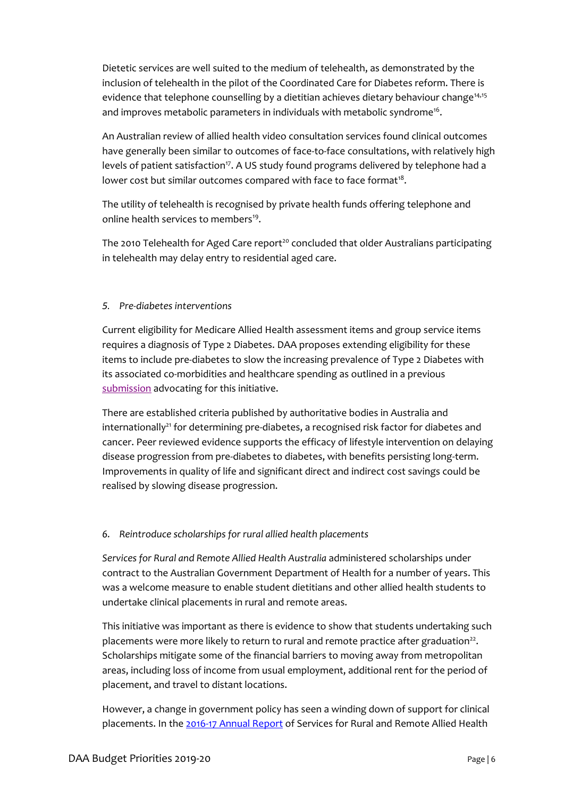Dietetic services are well suited to the medium of telehealth, as demonstrated by the inclusion of telehealth in the pilot of the Coordinated Care for Diabetes reform. There is evidence that telephone counselling by a dietitian achieves dietary behaviour change<sup>14,15</sup> and improves metabolic parameters in individuals with metabolic syndrome<sup>16</sup>.

An Australian review of allied health video consultation services found clinical outcomes have generally been similar to outcomes of face-to-face consultations, with relatively high levels of patient satisfaction<sup>17</sup>. A US study found programs delivered by telephone had a lower cost but similar outcomes compared with face to face format $^{18}$ .

The utility of telehealth is recognised by private health funds offering telephone and online health services to members<sup>19</sup>.

The 2010 Telehealth for Aged Care report<sup>20</sup> concluded that older Australians participating in telehealth may delay entry to residential aged care.

# *5. Pre-diabetes interventions*

Current eligibility for Medicare Allied Health assessment items and group service items requires a diagnosis of Type 2 Diabetes. DAA proposes extending eligibility for these items to include pre-diabetes to slow the increasing prevalence of Type 2 Diabetes with its associated co-morbidities and healthcare spending as outlined in a previous [submission](https://daa.asn.au/wp-content/uploads/2016/12/Pre-budget-submission-Pre-diabetes-ESSA-DAA-ADEA.pdf) advocating for this initiative.

There are established criteria published by authoritative bodies in Australia and internationally<sup>21</sup> for determining pre-diabetes, a recognised risk factor for diabetes and cancer. Peer reviewed evidence supports the efficacy of lifestyle intervention on delaying disease progression from pre-diabetes to diabetes, with benefits persisting long-term. Improvements in quality of life and significant direct and indirect cost savings could be realised by slowing disease progression.

#### *6. Reintroduce scholarships for rural allied health placements*

*Services for Rural and Remote Allied Health Australia* administered scholarships under contract to the Australian Government Department of Health for a number of years. This was a welcome measure to enable student dietitians and other allied health students to undertake clinical placements in rural and remote areas.

This initiative was important as there is evidence to show that students undertaking such placements were more likely to return to rural and remote practice after graduation<sup>22</sup>. Scholarships mitigate some of the financial barriers to moving away from metropolitan areas, including loss of income from usual employment, additional rent for the period of placement, and travel to distant locations.

However, a change in government policy has seen a winding down of support for clinical placements. In the [2016-17 Annual Report](https://sarrah.org.au/sites/default/files/docs/final_sarrah_annual_report_2016-17.pdf) of Services for Rural and Remote Allied Health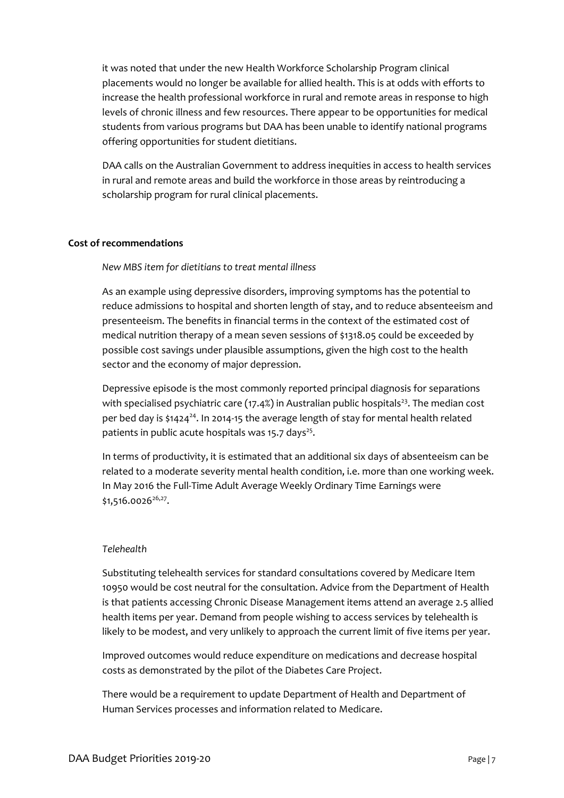it was noted that under the new Health Workforce Scholarship Program clinical placements would no longer be available for allied health. This is at odds with efforts to increase the health professional workforce in rural and remote areas in response to high levels of chronic illness and few resources. There appear to be opportunities for medical students from various programs but DAA has been unable to identify national programs offering opportunities for student dietitians.

DAA calls on the Australian Government to address inequities in access to health services in rural and remote areas and build the workforce in those areas by reintroducing a scholarship program for rural clinical placements.

# **Cost of recommendations**

# *New MBS item for dietitians to treat mental illness*

As an example using depressive disorders, improving symptoms has the potential to reduce admissions to hospital and shorten length of stay, and to reduce absenteeism and presenteeism. The benefits in financial terms in the context of the estimated cost of medical nutrition therapy of a mean seven sessions of \$1318.05 could be exceeded by possible cost savings under plausible assumptions, given the high cost to the health sector and the economy of major depression.

Depressive episode is the most commonly reported principal diagnosis for separations with specialised psychiatric care (17.4%) in Australian public hospitals<sup>23</sup>. The median cost per bed day is \$1424<sup>24</sup>. In 2014-15 the average length of stay for mental health related patients in public acute hospitals was 15.7 days<sup>25</sup>.

In terms of productivity, it is estimated that an additional six days of absenteeism can be related to a moderate severity mental health condition, i.e. more than one working week. In May 2016 the Full-Time Adult Average Weekly Ordinary Time Earnings were  $$1,516.0026^{26,27}$ .

#### *Telehealth*

Substituting telehealth services for standard consultations covered by Medicare Item 10950 would be cost neutral for the consultation. Advice from the Department of Health is that patients accessing Chronic Disease Management items attend an average 2.5 allied health items per year. Demand from people wishing to access services by telehealth is likely to be modest, and very unlikely to approach the current limit of five items per year.

Improved outcomes would reduce expenditure on medications and decrease hospital costs as demonstrated by the pilot of the Diabetes Care Project.

There would be a requirement to update Department of Health and Department of Human Services processes and information related to Medicare.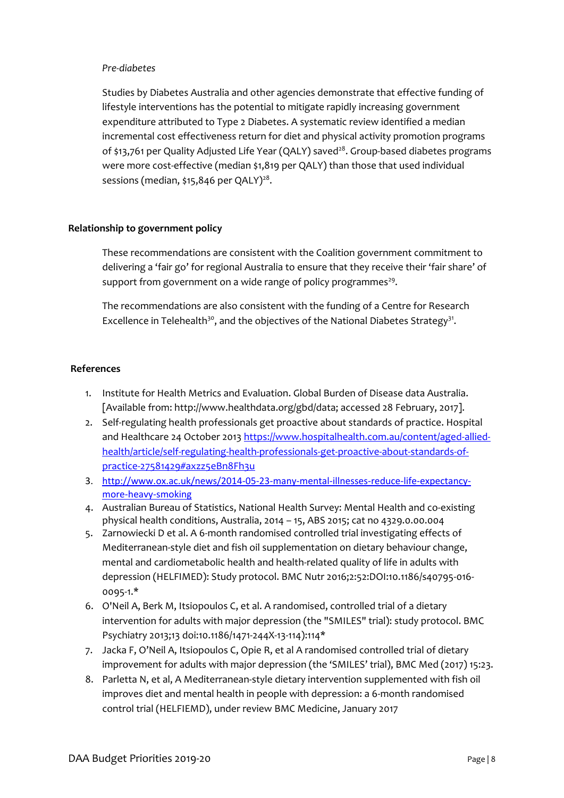# *Pre-diabetes*

Studies by Diabetes Australia and other agencies demonstrate that effective funding of lifestyle interventions has the potential to mitigate rapidly increasing government expenditure attributed to Type 2 Diabetes. A systematic review identified a median incremental cost effectiveness return for diet and physical activity promotion programs of \$13,761 per Quality Adjusted Life Year (QALY) saved<sup>28</sup>. Group-based diabetes programs were more cost-effective (median \$1,819 per QALY) than those that used individual sessions (median, \$15,846 per QALY)<sup>28</sup>.

# **Relationship to government policy**

These recommendations are consistent with the Coalition government commitment to delivering a 'fair go' for regional Australia to ensure that they receive their 'fair share' of support from government on a wide range of policy programmes<sup>29</sup>.

The recommendations are also consistent with the funding of a Centre for Research Excellence in Telehealth<sup>30</sup>, and the objectives of the National Diabetes Strategy<sup>31</sup>.

# **References**

- 1. Institute for Health Metrics and Evaluation. Global Burden of Disease data Australia. [Available from: http://www.healthdata.org/gbd/data; accessed 28 February, 2017].
- 2. Self-regulating health professionals get proactive about standards of practice. Hospital and Healthcare 24 October 201[3 https://www.hospitalhealth.com.au/content/aged-allied](https://www.hospitalhealth.com.au/content/aged-allied-health/article/self-regulating-health-professionals-get-proactive-about-standards-of-practice-27581429#axzz5eBn8Fh3u)[health/article/self-regulating-health-professionals-get-proactive-about-standards-of](https://www.hospitalhealth.com.au/content/aged-allied-health/article/self-regulating-health-professionals-get-proactive-about-standards-of-practice-27581429#axzz5eBn8Fh3u)[practice-27581429#axzz5eBn8Fh3u](https://www.hospitalhealth.com.au/content/aged-allied-health/article/self-regulating-health-professionals-get-proactive-about-standards-of-practice-27581429#axzz5eBn8Fh3u)
- 3. [http://www.ox.ac.uk/news/2014-05-23-many-mental-illnesses-reduce-life-expectancy](http://www.ox.ac.uk/news/2014-05-23-many-mental-illnesses-reduce-life-expectancy-more-heavy-smoking)[more-heavy-smoking](http://www.ox.ac.uk/news/2014-05-23-many-mental-illnesses-reduce-life-expectancy-more-heavy-smoking)
- 4. Australian Bureau of Statistics, National Health Survey: Mental Health and co-existing physical health conditions, Australia, 2014 – 15, ABS 2015; cat no 4329.0.00.004
- 5. Zarnowiecki D et al. A 6-month randomised controlled trial investigating effects of Mediterranean-style diet and fish oil supplementation on dietary behaviour change, mental and cardiometabolic health and health-related quality of life in adults with depression (HELFIMED): Study protocol. BMC Nutr 2016;2:52:DOI:10.1186/s40795-016- 0095-1.\*
- 6. O'Neil A, Berk M, Itsiopoulos C, et al. A randomised, controlled trial of a dietary intervention for adults with major depression (the "SMILES" trial): study protocol. BMC Psychiatry 2013;13 doi:10.1186/1471-244X-13-114):114\*
- 7. Jacka F, O'Neil A, Itsiopoulos C, Opie R, et al A randomised controlled trial of dietary improvement for adults with major depression (the 'SMILES' trial), BMC Med (2017) 15:23.
- 8. Parletta N, et al, A Mediterranean-style dietary intervention supplemented with fish oil improves diet and mental health in people with depression: a 6-month randomised control trial (HELFIEMD), under review BMC Medicine, January 2017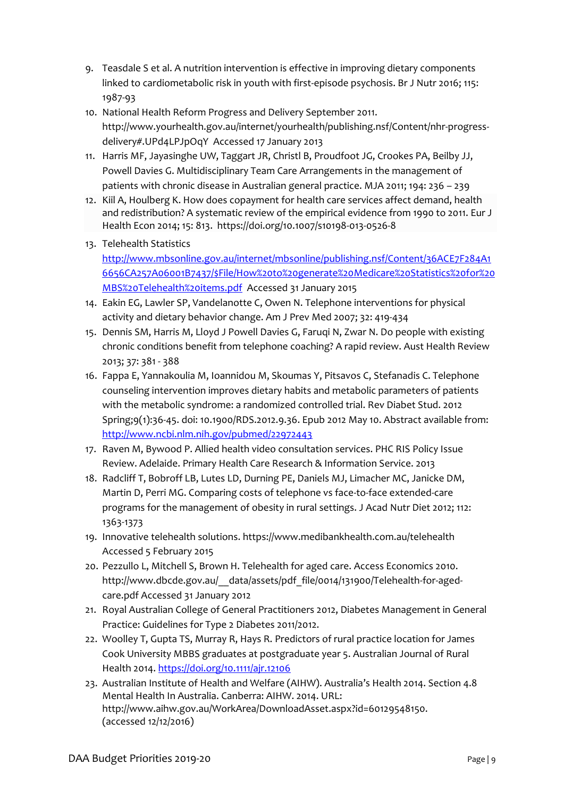- 9. Teasdale S et al. A nutrition intervention is effective in improving dietary components linked to cardiometabolic risk in youth with first-episode psychosis. Br J Nutr 2016; 115: 1987-93
- 10. National Health Reform Progress and Delivery September 2011. [http://www.yourhealth.gov.au/internet/yourhealth/publishing.nsf/Content/nhr-progress](http://www.yourhealth.gov.au/internet/yourhealth/publishing.nsf/Content/nhr-progress-delivery#.UPd4LPJpOqY)[delivery#.UPd4LPJpOqY](http://www.yourhealth.gov.au/internet/yourhealth/publishing.nsf/Content/nhr-progress-delivery#.UPd4LPJpOqY) Accessed 17 January 2013
- 11. Harris MF, Jayasinghe UW, Taggart JR, Christl B, Proudfoot JG, Crookes PA, Beilby JJ, Powell Davies G. Multidisciplinary Team Care Arrangements in the management of patients with chronic disease in Australian general practice. MJA 2011; 194: 236 – 239
- 12. Kiil A, Houlberg K. How does copayment for health care services affect demand, health and redistribution? A systematic review of the empirical evidence from 1990 to 2011. Eur J Health Econ 2014; 15: 813. <https://doi.org/10.1007/s10198-013-0526-8>
- 13. Telehealth Statistics

[http://www.mbsonline.gov.au/internet/mbsonline/publishing.nsf/Content/36ACE7F284A1](http://www.mbsonline.gov.au/internet/mbsonline/publishing.nsf/Content/36ACE7F284A16656CA257A06001B7437/$File/How%20to%20generate%20Medicare%20Statistics%20for%20MBS%20Telehealth%20items.pdf) [6656CA257A06001B7437/\\$File/How%20to%20generate%20Medicare%20Statistics%20for%20](http://www.mbsonline.gov.au/internet/mbsonline/publishing.nsf/Content/36ACE7F284A16656CA257A06001B7437/$File/How%20to%20generate%20Medicare%20Statistics%20for%20MBS%20Telehealth%20items.pdf) [MBS%20Telehealth%20items.pdf](http://www.mbsonline.gov.au/internet/mbsonline/publishing.nsf/Content/36ACE7F284A16656CA257A06001B7437/$File/How%20to%20generate%20Medicare%20Statistics%20for%20MBS%20Telehealth%20items.pdf) Accessed 31 January 2015

- 14. Eakin EG, Lawler SP, Vandelanotte C, Owen N. Telephone interventions for physical activity and dietary behavior change. Am J Prev Med 2007; 32: 419-434
- 15. Dennis SM, Harris M, Lloyd J Powell Davies G, Faruqi N, Zwar N. Do people with existing chronic conditions benefit from telephone coaching? A rapid review. Aust Health Review 2013; 37: 381 - 388
- 16. Fappa E, Yannakoulia M, Ioannidou M, Skoumas Y, Pitsavos C, Stefanadis C. Telephone counseling intervention improves dietary habits and metabolic parameters of patients with the metabolic syndrome: a randomized controlled trial. Rev Diabet Stud. 2012 Spring;9(1):36-45. doi: 10.1900/RDS.2012.9.36. Epub 2012 May 10. Abstract available from: <http://www.ncbi.nlm.nih.gov/pubmed/22972443>
- 17. Raven M, Bywood P. Allied health video consultation services. PHC RIS Policy Issue Review. Adelaide. Primary Health Care Research & Information Service. 2013
- 18. Radcliff T, Bobroff LB, Lutes LD, Durning PE, Daniels MJ, Limacher MC, Janicke DM, Martin D, Perri MG. Comparing costs of telephone vs face-to-face extended-care programs for the management of obesity in rural settings. J Acad Nutr Diet 2012; 112: 1363-1373
- 19. Innovative telehealth solutions.<https://www.medibankhealth.com.au/telehealth> Accessed 5 February 2015
- 20. Pezzullo L, Mitchell S, Brown H. Telehealth for aged care. Access Economics 2010. [http://www.dbcde.gov.au/\\_\\_data/assets/pdf\\_file/0014/131900/Telehealth-for-aged](http://www.dbcde.gov.au/__data/assets/pdf_file/0014/131900/Telehealth-for-aged-care.pdf)[care.pdf](http://www.dbcde.gov.au/__data/assets/pdf_file/0014/131900/Telehealth-for-aged-care.pdf) Accessed 31 January 2012
- 21. Royal Australian College of General Practitioners 2012, Diabetes Management in General Practice: Guidelines for Type 2 Diabetes 2011/2012.
- 22. Woolley T, Gupta TS, Murray R, Hays R. Predictors of rural practice location for James Cook University MBBS graduates at postgraduate year 5. Australian Journal of Rural Health 2014. <https://doi.org/10.1111/ajr.12106>
- 23. Australian Institute of Health and Welfare (AIHW). Australia's Health 2014. Section 4.8 Mental Health In Australia. Canberra: AIHW. 2014. URL: http://www.aihw.gov.au/WorkArea/DownloadAsset.aspx?id=60129548150. (accessed 12/12/2016)